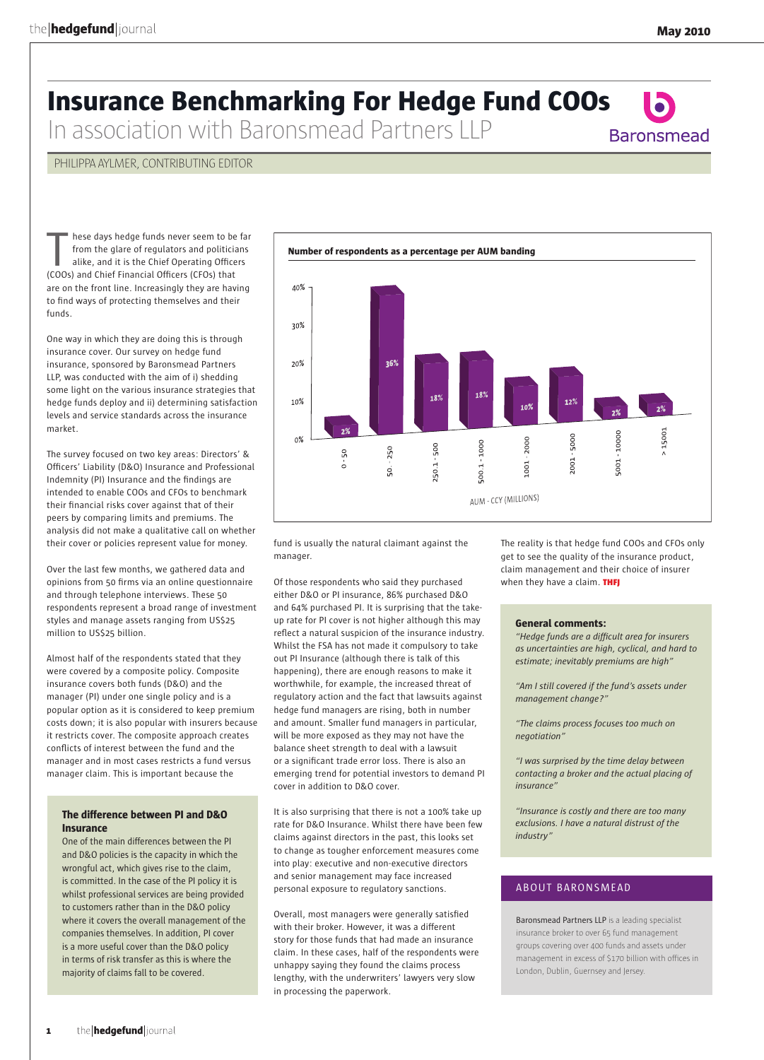**Baronsmead** 

# **Insurance Benchmarking For Hedge Fund COOs**

In association with Baronsmead Partners LLP

### PHILIPPA AYLMER, CONTRIBUTING EDITOR

hese days hedge funds never seem to be far from the glare of regulators and politicians alike, and it is the Chief Operating Officers (COOs) and Chief Financial Officers (CFOs) that are on the front line. Increasingly they are having to find ways of protecting themselves and their funds.

One way in which they are doing this is through insurance cover. Our survey on hedge fund insurance, sponsored by Baronsmead Partners LLP, was conducted with the aim of i) shedding some light on the various insurance strategies that hedge funds deploy and ii) determining satisfaction levels and service standards across the insurance market.

The survey focused on two key areas: Directors' & Officers' Liability (D&O) Insurance and Professional Indemnity (PI) Insurance and the findings are intended to enable COOs and CFOs to benchmark their financial risks cover against that of their peers by comparing limits and premiums. The analysis did not make a qualitative call on whether their cover or policies represent value for money.

Over the last few months, we gathered data and opinions from 50 firms via an online questionnaire and through telephone interviews. These 50 respondents represent a broad range of investment styles and manage assets ranging from US\$25 million to US\$25 billion.

Almost half of the respondents stated that they were covered by a composite policy. Composite insurance covers both funds (D&O) and the manager (PI) under one single policy and is a popular option as it is considered to keep premium costs down; it is also popular with insurers because it restricts cover. The composite approach creates conflicts of interest between the fund and the manager and in most cases restricts a fund versus manager claim. This is important because the

#### **The difference between PI and D&O Insurance**

One of the main differences between the PI and D&O policies is the capacity in which the wrongful act, which gives rise to the claim, is committed. In the case of the PI policy it is whilst professional services are being provided to customers rather than in the D&O policy where it covers the overall management of the companies themselves. In addition, PI cover is a more useful cover than the D&O policy in terms of risk transfer as this is where the majority of claims fall to be covered.



fund is usually the natural claimant against the manager.

Of those respondents who said they purchased either D&O or PI insurance, 86% purchased D&O and 64% purchased PI. It is surprising that the takeup rate for PI cover is not higher although this may reflect a natural suspicion of the insurance industry. Whilst the FSA has not made it compulsory to take out PI Insurance (although there is talk of this happening), there are enough reasons to make it worthwhile, for example, the increased threat of regulatory action and the fact that lawsuits against hedge fund managers are rising, both in number and amount. Smaller fund managers in particular, will be more exposed as they may not have the balance sheet strength to deal with a lawsuit or a significant trade error loss. There is also an emerging trend for potential investors to demand PI cover in addition to D&O cover.

It is also surprising that there is not a 100% take up rate for D&O Insurance. Whilst there have been few claims against directors in the past, this looks set to change as tougher enforcement measures come into play: executive and non-executive directors and senior management may face increased personal exposure to regulatory sanctions.

Overall, most managers were generally satisfied with their broker. However, it was a different story for those funds that had made an insurance claim. In these cases, half of the respondents were unhappy saying they found the claims process lengthy, with the underwriters' lawyers very slow in processing the paperwork.

The reality is that hedge fund COOs and CFOs only get to see the quality of the insurance product, claim management and their choice of insurer when they have a claim. THFJ

#### **General comments:**

*"Hedge funds are a difficult area for insurers as uncertainties are high, cyclical, and hard to estimate; inevitably premiums are high"*

*"Am I still covered if the fund's assets under management change?"*

*"The claims process focuses too much on negotiation"*

*"I was surprised by the time delay between contacting a broker and the actual placing of insurance"*

*"Insurance is costly and there are too many exclusions. I have a natural distrust of the industry"*

## ABOUT BARONSMEAD

Baronsmead Partners LLP is a leading specialist insurance broker to over 65 fund management groups covering over 400 funds and assets under management in excess of \$170 billion with offices in London, Dublin, Guernsey and Jersey.